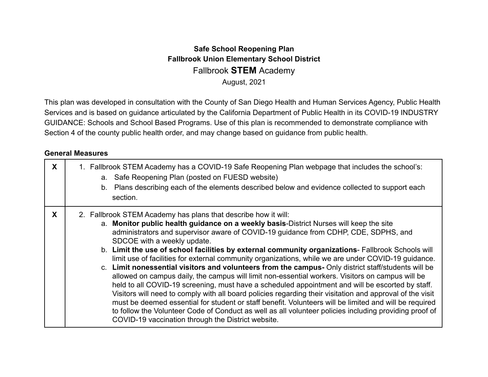#### **Safe School Reopening Plan Fallbrook Union Elementary School District** Fallbrook **STEM** Academy August, 2021

This plan was developed in consultation with the County of San Diego Health and Human Services Agency, Public Health Services and is based on guidance articulated by the California Department of Public Health in its COVID-19 INDUSTRY GUIDANCE: Schools and School Based Programs. Use of this plan is recommended to demonstrate compliance with Section 4 of the county public health order, and may change based on guidance from public health.

#### **General Measures**

| X | 1. Fallbrook STEM Academy has a COVID-19 Safe Reopening Plan webpage that includes the school's:<br>a. Safe Reopening Plan (posted on FUESD website)<br>b. Plans describing each of the elements described below and evidence collected to support each<br>section.                                                                                                                                                                                                                                                                                                                                                                                                                                                                                                                                                                                                                                                                                                                                                                                                                                                                                                                              |
|---|--------------------------------------------------------------------------------------------------------------------------------------------------------------------------------------------------------------------------------------------------------------------------------------------------------------------------------------------------------------------------------------------------------------------------------------------------------------------------------------------------------------------------------------------------------------------------------------------------------------------------------------------------------------------------------------------------------------------------------------------------------------------------------------------------------------------------------------------------------------------------------------------------------------------------------------------------------------------------------------------------------------------------------------------------------------------------------------------------------------------------------------------------------------------------------------------------|
| X | 2. Fallbrook STEM Academy has plans that describe how it will:<br>a. Monitor public health guidance on a weekly basis-District Nurses will keep the site<br>administrators and supervisor aware of COVID-19 guidance from CDHP, CDE, SDPHS, and<br>SDCOE with a weekly update.<br>b. Limit the use of school facilities by external community organizations- Fallbrook Schools will<br>limit use of facilities for external community organizations, while we are under COVID-19 guidance.<br>c. Limit nonessential visitors and volunteers from the campus- Only district staff/students will be<br>allowed on campus daily, the campus will limit non-essential workers. Visitors on campus will be<br>held to all COVID-19 screening, must have a scheduled appointment and will be escorted by staff.<br>Visitors will need to comply with all board policies regarding their visitation and approval of the visit<br>must be deemed essential for student or staff benefit. Volunteers will be limited and will be required<br>to follow the Volunteer Code of Conduct as well as all volunteer policies including providing proof of<br>COVID-19 vaccination through the District website. |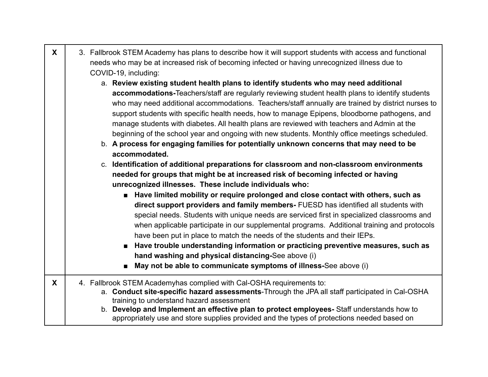| $\mathsf{X}$ | 3. Fallbrook STEM Academy has plans to describe how it will support students with access and functional<br>needs who may be at increased risk of becoming infected or having unrecognized illness due to<br>COVID-19, including:<br>a. Review existing student health plans to identify students who may need additional<br>accommodations-Teachers/staff are regularly reviewing student health plans to identify students<br>who may need additional accommodations. Teachers/staff annually are trained by district nurses to<br>support students with specific health needs, how to manage Epipens, bloodborne pathogens, and<br>manage students with diabetes. All health plans are reviewed with teachers and Admin at the<br>beginning of the school year and ongoing with new students. Monthly office meetings scheduled.<br>b. A process for engaging families for potentially unknown concerns that may need to be<br>accommodated.<br>c. Identification of additional preparations for classroom and non-classroom environments<br>needed for groups that might be at increased risk of becoming infected or having<br>unrecognized illnesses. These include individuals who:<br>Have limited mobility or require prolonged and close contact with others, such as<br>direct support providers and family members- FUESD has identified all students with<br>special needs. Students with unique needs are serviced first in specialized classrooms and<br>when applicable participate in our supplemental programs. Additional training and protocols<br>have been put in place to match the needs of the students and their IEPs.<br>■ Have trouble understanding information or practicing preventive measures, such as<br>hand washing and physical distancing-See above (i)<br>May not be able to communicate symptoms of illness-See above (i) |
|--------------|------------------------------------------------------------------------------------------------------------------------------------------------------------------------------------------------------------------------------------------------------------------------------------------------------------------------------------------------------------------------------------------------------------------------------------------------------------------------------------------------------------------------------------------------------------------------------------------------------------------------------------------------------------------------------------------------------------------------------------------------------------------------------------------------------------------------------------------------------------------------------------------------------------------------------------------------------------------------------------------------------------------------------------------------------------------------------------------------------------------------------------------------------------------------------------------------------------------------------------------------------------------------------------------------------------------------------------------------------------------------------------------------------------------------------------------------------------------------------------------------------------------------------------------------------------------------------------------------------------------------------------------------------------------------------------------------------------------------------------------------------------------------------------------------------------------------------------------------------------------|
| X            | 4. Fallbrook STEM Academyhas complied with Cal-OSHA requirements to:<br>a. Conduct site-specific hazard assessments-Through the JPA all staff participated in Cal-OSHA<br>training to understand hazard assessment<br>b. Develop and Implement an effective plan to protect employees- Staff understands how to<br>appropriately use and store supplies provided and the types of protections needed based on                                                                                                                                                                                                                                                                                                                                                                                                                                                                                                                                                                                                                                                                                                                                                                                                                                                                                                                                                                                                                                                                                                                                                                                                                                                                                                                                                                                                                                                    |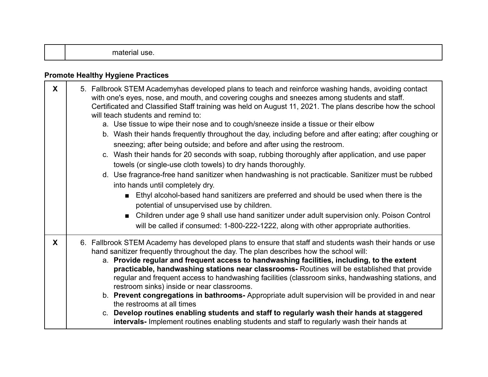|--|--|--|--|

### **Promote Healthy Hygiene Practices**

| $\mathbf{x}$ | 5. Fallbrook STEM Academyhas developed plans to teach and reinforce washing hands, avoiding contact<br>with one's eyes, nose, and mouth, and covering coughs and sneezes among students and staff.<br>Certificated and Classified Staff training was held on August 11, 2021. The plans describe how the school<br>will teach students and remind to:<br>a. Use tissue to wipe their nose and to cough/sneeze inside a tissue or their elbow<br>b. Wash their hands frequently throughout the day, including before and after eating; after coughing or<br>sneezing; after being outside; and before and after using the restroom.<br>c. Wash their hands for 20 seconds with soap, rubbing thoroughly after application, and use paper<br>towels (or single-use cloth towels) to dry hands thoroughly.<br>d. Use fragrance-free hand sanitizer when handwashing is not practicable. Sanitizer must be rubbed<br>into hands until completely dry.<br>Ethyl alcohol-based hand sanitizers are preferred and should be used when there is the<br>potential of unsupervised use by children.<br>Children under age 9 shall use hand sanitizer under adult supervision only. Poison Control<br>$\blacksquare$<br>will be called if consumed: 1-800-222-1222, along with other appropriate authorities. |
|--------------|----------------------------------------------------------------------------------------------------------------------------------------------------------------------------------------------------------------------------------------------------------------------------------------------------------------------------------------------------------------------------------------------------------------------------------------------------------------------------------------------------------------------------------------------------------------------------------------------------------------------------------------------------------------------------------------------------------------------------------------------------------------------------------------------------------------------------------------------------------------------------------------------------------------------------------------------------------------------------------------------------------------------------------------------------------------------------------------------------------------------------------------------------------------------------------------------------------------------------------------------------------------------------------------------------|
| X            | 6. Fallbrook STEM Academy has developed plans to ensure that staff and students wash their hands or use<br>hand sanitizer frequently throughout the day. The plan describes how the school will:<br>a. Provide regular and frequent access to handwashing facilities, including, to the extent<br>practicable, handwashing stations near classrooms- Routines will be established that provide<br>regular and frequent access to handwashing facilities (classroom sinks, handwashing stations, and<br>restroom sinks) inside or near classrooms.<br>b. Prevent congregations in bathrooms-Appropriate adult supervision will be provided in and near<br>the restrooms at all times<br>c. Develop routines enabling students and staff to regularly wash their hands at staggered<br>intervals- Implement routines enabling students and staff to regularly wash their hands at                                                                                                                                                                                                                                                                                                                                                                                                                    |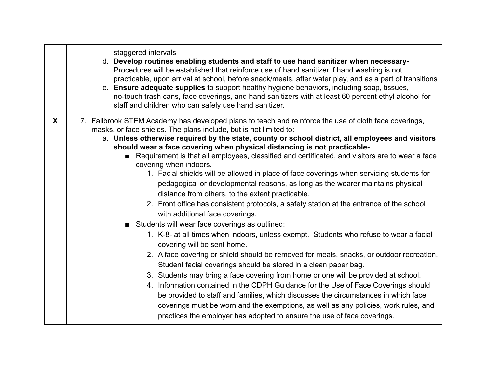|   | staggered intervals<br>d. Develop routines enabling students and staff to use hand sanitizer when necessary-<br>Procedures will be established that reinforce use of hand sanitizer if hand washing is not<br>practicable, upon arrival at school, before snack/meals, after water play, and as a part of transitions<br>e. Ensure adequate supplies to support healthy hygiene behaviors, including soap, tissues,<br>no-touch trash cans, face coverings, and hand sanitizers with at least 60 percent ethyl alcohol for<br>staff and children who can safely use hand sanitizer.                                                                                                                                                                                                                                                                                                                                                                                                                                                                                                                                                                                                                                                                                                                                                                                                                                                                                                                                                                                                                                                    |
|---|----------------------------------------------------------------------------------------------------------------------------------------------------------------------------------------------------------------------------------------------------------------------------------------------------------------------------------------------------------------------------------------------------------------------------------------------------------------------------------------------------------------------------------------------------------------------------------------------------------------------------------------------------------------------------------------------------------------------------------------------------------------------------------------------------------------------------------------------------------------------------------------------------------------------------------------------------------------------------------------------------------------------------------------------------------------------------------------------------------------------------------------------------------------------------------------------------------------------------------------------------------------------------------------------------------------------------------------------------------------------------------------------------------------------------------------------------------------------------------------------------------------------------------------------------------------------------------------------------------------------------------------|
| X | 7. Fallbrook STEM Academy has developed plans to teach and reinforce the use of cloth face coverings,<br>masks, or face shields. The plans include, but is not limited to:<br>a. Unless otherwise required by the state, county or school district, all employees and visitors<br>should wear a face covering when physical distancing is not practicable-<br>Requirement is that all employees, classified and certificated, and visitors are to wear a face<br>covering when indoors.<br>1. Facial shields will be allowed in place of face coverings when servicing students for<br>pedagogical or developmental reasons, as long as the wearer maintains physical<br>distance from others, to the extent practicable.<br>2. Front office has consistent protocols, a safety station at the entrance of the school<br>with additional face coverings.<br>Students will wear face coverings as outlined:<br>1. K-8- at all times when indoors, unless exempt. Students who refuse to wear a facial<br>covering will be sent home.<br>2. A face covering or shield should be removed for meals, snacks, or outdoor recreation.<br>Student facial coverings should be stored in a clean paper bag.<br>3. Students may bring a face covering from home or one will be provided at school.<br>4. Information contained in the CDPH Guidance for the Use of Face Coverings should<br>be provided to staff and families, which discusses the circumstances in which face<br>coverings must be worn and the exemptions, as well as any policies, work rules, and<br>practices the employer has adopted to ensure the use of face coverings. |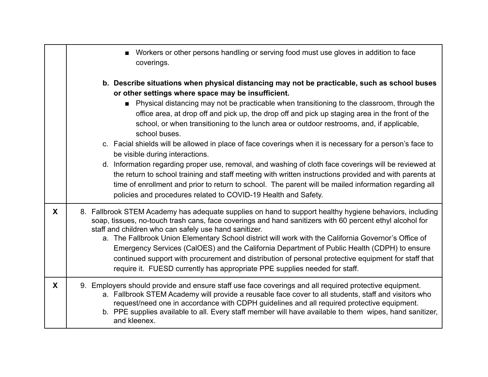|   | Workers or other persons handling or serving food must use gloves in addition to face<br>$\blacksquare$<br>coverings.                                                                                                                                                                                                                                                                                                                                                                                                                                                                                                                                                    |
|---|--------------------------------------------------------------------------------------------------------------------------------------------------------------------------------------------------------------------------------------------------------------------------------------------------------------------------------------------------------------------------------------------------------------------------------------------------------------------------------------------------------------------------------------------------------------------------------------------------------------------------------------------------------------------------|
|   | b. Describe situations when physical distancing may not be practicable, such as school buses<br>or other settings where space may be insufficient.<br>• Physical distancing may not be practicable when transitioning to the classroom, through the<br>office area, at drop off and pick up, the drop off and pick up staging area in the front of the<br>school, or when transitioning to the lunch area or outdoor restrooms, and, if applicable,<br>school buses.<br>c. Facial shields will be allowed in place of face coverings when it is necessary for a person's face to<br>be visible during interactions.                                                      |
|   | d. Information regarding proper use, removal, and washing of cloth face coverings will be reviewed at<br>the return to school training and staff meeting with written instructions provided and with parents at<br>time of enrollment and prior to return to school. The parent will be mailed information regarding all<br>policies and procedures related to COVID-19 Health and Safety.                                                                                                                                                                                                                                                                               |
| X | 8. Fallbrook STEM Academy has adequate supplies on hand to support healthy hygiene behaviors, including<br>soap, tissues, no-touch trash cans, face coverings and hand sanitizers with 60 percent ethyl alcohol for<br>staff and children who can safely use hand sanitizer.<br>a. The Fallbrook Union Elementary School district will work with the California Governor's Office of<br>Emergency Services (CalOES) and the California Department of Public Health (CDPH) to ensure<br>continued support with procurement and distribution of personal protective equipment for staff that<br>require it. FUESD currently has appropriate PPE supplies needed for staff. |
| X | 9. Employers should provide and ensure staff use face coverings and all required protective equipment.<br>a. Fallbrook STEM Academy will provide a reusable face cover to all students, staff and visitors who<br>request/need one in accordance with CDPH guidelines and all required protective equipment.<br>b. PPE supplies available to all. Every staff member will have available to them wipes, hand sanitizer,<br>and kleenex.                                                                                                                                                                                                                                  |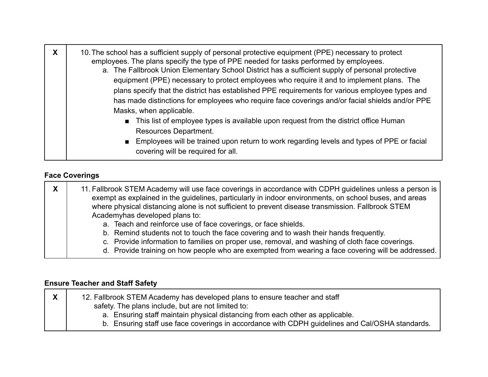| X | 10. The school has a sufficient supply of personal protective equipment (PPE) necessary to protect<br>employees. The plans specify the type of PPE needed for tasks performed by employees.<br>a. The Fallbrook Union Elementary School District has a sufficient supply of personal protective<br>equipment (PPE) necessary to protect employees who require it and to implement plans. The<br>plans specify that the district has established PPE requirements for various employee types and<br>has made distinctions for employees who require face coverings and/or facial shields and/or PPE<br>Masks, when applicable. |
|---|-------------------------------------------------------------------------------------------------------------------------------------------------------------------------------------------------------------------------------------------------------------------------------------------------------------------------------------------------------------------------------------------------------------------------------------------------------------------------------------------------------------------------------------------------------------------------------------------------------------------------------|
|   | • This list of employee types is available upon request from the district office Human<br>Resources Department.<br>Employees will be trained upon return to work regarding levels and types of PPE or facial<br>covering will be required for all.                                                                                                                                                                                                                                                                                                                                                                            |

#### **Face Coverings**

| X<br>11. Fallbrook STEM Academy will use face coverings in accordance with CDPH guidelines unless a person is<br>exempt as explained in the guidelines, particularly in indoor environments, on school buses, and areas<br>where physical distancing alone is not sufficient to prevent disease transmission. Fallbrook STEM<br>Academyhas developed plans to: |                                                                                                                                                                                                                                                                                                                                                                  |
|----------------------------------------------------------------------------------------------------------------------------------------------------------------------------------------------------------------------------------------------------------------------------------------------------------------------------------------------------------------|------------------------------------------------------------------------------------------------------------------------------------------------------------------------------------------------------------------------------------------------------------------------------------------------------------------------------------------------------------------|
|                                                                                                                                                                                                                                                                                                                                                                | a. Teach and reinforce use of face coverings, or face shields.<br>b. Remind students not to touch the face covering and to wash their hands frequently.<br>c. Provide information to families on proper use, removal, and washing of cloth face coverings.<br>d. Provide training on how people who are exempted from wearing a face covering will be addressed. |

#### **Ensure Teacher and Staff Safety**

| v<br>^ | 12. Fallbrook STEM Academy has developed plans to ensure teacher and staff                      |
|--------|-------------------------------------------------------------------------------------------------|
|        | safety. The plans include, but are not limited to:                                              |
|        | a. Ensuring staff maintain physical distancing from each other as applicable.                   |
|        | b. Ensuring staff use face coverings in accordance with CDPH guidelines and Cal/OSHA standards. |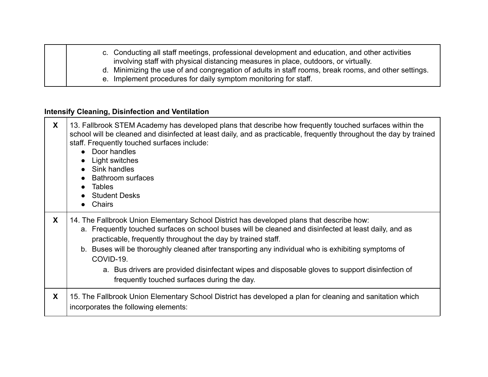| c. Conducting all staff meetings, professional development and education, and other activities<br>involving staff with physical distancing measures in place, outdoors, or virtually. |
|---------------------------------------------------------------------------------------------------------------------------------------------------------------------------------------|
| d. Minimizing the use of and congregation of adults in staff rooms, break rooms, and other settings.                                                                                  |
| e. Implement procedures for daily symptom monitoring for staff.                                                                                                                       |

# **Intensify Cleaning, Disinfection and Ventilation**

| X | 13. Fallbrook STEM Academy has developed plans that describe how frequently touched surfaces within the<br>school will be cleaned and disinfected at least daily, and as practicable, frequently throughout the day by trained<br>staff. Frequently touched surfaces include:<br>• Door handles<br>Light switches<br>$\bullet$<br>• Sink handles<br>• Bathroom surfaces<br>• Tables<br>• Student Desks<br>Chairs<br>$\bullet$                                                                                                            |
|---|------------------------------------------------------------------------------------------------------------------------------------------------------------------------------------------------------------------------------------------------------------------------------------------------------------------------------------------------------------------------------------------------------------------------------------------------------------------------------------------------------------------------------------------|
| X | 14. The Fallbrook Union Elementary School District has developed plans that describe how:<br>a. Frequently touched surfaces on school buses will be cleaned and disinfected at least daily, and as<br>practicable, frequently throughout the day by trained staff.<br>b. Buses will be thoroughly cleaned after transporting any individual who is exhibiting symptoms of<br>COVID-19.<br>a. Bus drivers are provided disinfectant wipes and disposable gloves to support disinfection of<br>frequently touched surfaces during the day. |
| X | 15. The Fallbrook Union Elementary School District has developed a plan for cleaning and sanitation which<br>incorporates the following elements:                                                                                                                                                                                                                                                                                                                                                                                        |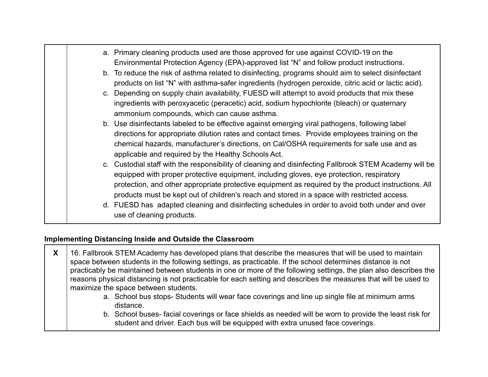|  | a. Primary cleaning products used are those approved for use against COVID-19 on the<br>Environmental Protection Agency (EPA)-approved list "N" and follow product instructions.                                                                                                                                                                                                                         |
|--|----------------------------------------------------------------------------------------------------------------------------------------------------------------------------------------------------------------------------------------------------------------------------------------------------------------------------------------------------------------------------------------------------------|
|  | b. To reduce the risk of asthma related to disinfecting, programs should aim to select disinfectant<br>products on list "N" with asthma-safer ingredients (hydrogen peroxide, citric acid or lactic acid).                                                                                                                                                                                               |
|  | c. Depending on supply chain availability, FUESD will attempt to avoid products that mix these<br>ingredients with peroxyacetic (peracetic) acid, sodium hypochlorite (bleach) or quaternary<br>ammonium compounds, which can cause asthma.                                                                                                                                                              |
|  | b. Use disinfectants labeled to be effective against emerging viral pathogens, following label<br>directions for appropriate dilution rates and contact times. Provide employees training on the<br>chemical hazards, manufacturer's directions, on Cal/OSHA requirements for safe use and as<br>applicable and required by the Healthy Schools Act.                                                     |
|  | c. Custodial staff with the responsibility of cleaning and disinfecting Fallbrook STEM Academy will be<br>equipped with proper protective equipment, including gloves, eye protection, respiratory<br>protection, and other appropriate protective equipment as required by the product instructions. All<br>products must be kept out of children's reach and stored in a space with restricted access. |
|  | d. FUESD has adapted cleaning and disinfecting schedules in order to avoid both under and over<br>use of cleaning products.                                                                                                                                                                                                                                                                              |

## **Implementing Distancing Inside and Outside the Classroom**

| X | 16. Fallbrook STEM Academy has developed plans that describe the measures that will be used to maintain<br>space between students in the following settings, as practicable. If the school determines distance is not<br>practicably be maintained between students in one or more of the following settings, the plan also describes the<br>reasons physical distancing is not practicable for each setting and describes the measures that will be used to |
|---|--------------------------------------------------------------------------------------------------------------------------------------------------------------------------------------------------------------------------------------------------------------------------------------------------------------------------------------------------------------------------------------------------------------------------------------------------------------|
|   | maximize the space between students.                                                                                                                                                                                                                                                                                                                                                                                                                         |
|   | a. School bus stops- Students will wear face coverings and line up single file at minimum arms<br>distance.                                                                                                                                                                                                                                                                                                                                                  |
|   | b. School buses- facial coverings or face shields as needed will be worn to provide the least risk for<br>student and driver. Each bus will be equipped with extra unused face coverings.                                                                                                                                                                                                                                                                    |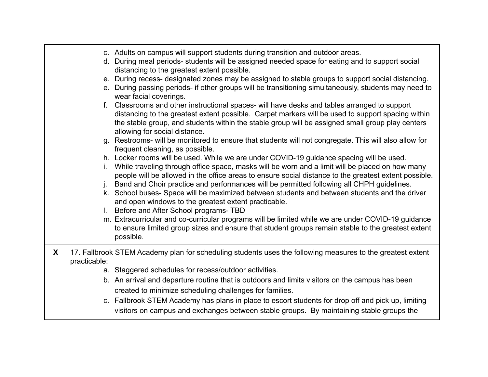|   |              | c. Adults on campus will support students during transition and outdoor areas.<br>d. During meal periods-students will be assigned needed space for eating and to support social<br>distancing to the greatest extent possible.<br>e. During recess- designated zones may be assigned to stable groups to support social distancing.<br>e. During passing periods- if other groups will be transitioning simultaneously, students may need to<br>wear facial coverings.<br>f. Classrooms and other instructional spaces- will have desks and tables arranged to support<br>distancing to the greatest extent possible. Carpet markers will be used to support spacing within<br>the stable group, and students within the stable group will be assigned small group play centers<br>allowing for social distance.<br>g. Restrooms- will be monitored to ensure that students will not congregate. This will also allow for<br>frequent cleaning, as possible.<br>h. Locker rooms will be used. While we are under COVID-19 guidance spacing will be used.<br>i. While traveling through office space, masks will be worn and a limit will be placed on how many<br>people will be allowed in the office areas to ensure social distance to the greatest extent possible.<br>j. Band and Choir practice and performances will be permitted following all CHPH guidelines.<br>k. School buses- Space will be maximized between students and between students and the driver<br>and open windows to the greatest extent practicable.<br>I. Before and After School programs- TBD<br>m. Extracurricular and co-curricular programs will be limited while we are under COVID-19 guidance<br>to ensure limited group sizes and ensure that student groups remain stable to the greatest extent<br>possible. |
|---|--------------|-------------------------------------------------------------------------------------------------------------------------------------------------------------------------------------------------------------------------------------------------------------------------------------------------------------------------------------------------------------------------------------------------------------------------------------------------------------------------------------------------------------------------------------------------------------------------------------------------------------------------------------------------------------------------------------------------------------------------------------------------------------------------------------------------------------------------------------------------------------------------------------------------------------------------------------------------------------------------------------------------------------------------------------------------------------------------------------------------------------------------------------------------------------------------------------------------------------------------------------------------------------------------------------------------------------------------------------------------------------------------------------------------------------------------------------------------------------------------------------------------------------------------------------------------------------------------------------------------------------------------------------------------------------------------------------------------------------------------------------------------------------------------------------------------------|
| X | practicable: | 17. Fallbrook STEM Academy plan for scheduling students uses the following measures to the greatest extent<br>a. Staggered schedules for recess/outdoor activities.<br>b. An arrival and departure routine that is outdoors and limits visitors on the campus has been<br>created to minimize scheduling challenges for families.<br>c. Fallbrook STEM Academy has plans in place to escort students for drop off and pick up, limiting<br>visitors on campus and exchanges between stable groups. By maintaining stable groups the                                                                                                                                                                                                                                                                                                                                                                                                                                                                                                                                                                                                                                                                                                                                                                                                                                                                                                                                                                                                                                                                                                                                                                                                                                                                   |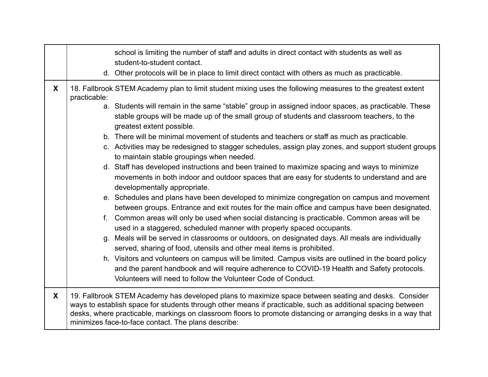|   |              | school is limiting the number of staff and adults in direct contact with students as well as<br>student-to-student contact.                                                                                                                                                                                                                                                                 |
|---|--------------|---------------------------------------------------------------------------------------------------------------------------------------------------------------------------------------------------------------------------------------------------------------------------------------------------------------------------------------------------------------------------------------------|
|   |              | d. Other protocols will be in place to limit direct contact with others as much as practicable.                                                                                                                                                                                                                                                                                             |
| X | practicable: | 18. Fallbrook STEM Academy plan to limit student mixing uses the following measures to the greatest extent                                                                                                                                                                                                                                                                                  |
|   |              | a. Students will remain in the same "stable" group in assigned indoor spaces, as practicable. These<br>stable groups will be made up of the small group of students and classroom teachers, to the<br>greatest extent possible.                                                                                                                                                             |
|   |              | b. There will be minimal movement of students and teachers or staff as much as practicable.                                                                                                                                                                                                                                                                                                 |
|   |              | c. Activities may be redesigned to stagger schedules, assign play zones, and support student groups<br>to maintain stable groupings when needed.                                                                                                                                                                                                                                            |
|   |              | d. Staff has developed instructions and been trained to maximize spacing and ways to minimize<br>movements in both indoor and outdoor spaces that are easy for students to understand and are<br>developmentally appropriate.                                                                                                                                                               |
|   |              | e. Schedules and plans have been developed to minimize congregation on campus and movement<br>between groups. Entrance and exit routes for the main office and campus have been designated.                                                                                                                                                                                                 |
|   |              | f. Common areas will only be used when social distancing is practicable. Common areas will be<br>used in a staggered, scheduled manner with properly spaced occupants.                                                                                                                                                                                                                      |
|   |              | g. Meals will be served in classrooms or outdoors, on designated days. All meals are individually<br>served, sharing of food, utensils and other meal items is prohibited.                                                                                                                                                                                                                  |
|   |              | h. Visitors and volunteers on campus will be limited. Campus visits are outlined in the board policy<br>and the parent handbook and will require adherence to COVID-19 Health and Safety protocols.<br>Volunteers will need to follow the Volunteer Code of Conduct.                                                                                                                        |
| X |              | 19. Fallbrook STEM Academy has developed plans to maximize space between seating and desks. Consider<br>ways to establish space for students through other means if practicable, such as additional spacing between<br>desks, where practicable, markings on classroom floors to promote distancing or arranging desks in a way that<br>minimizes face-to-face contact. The plans describe: |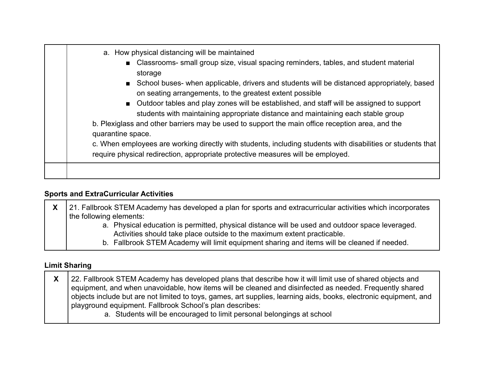| require physical redirection, appropriate protective measures will be employed. |  | a. How physical distancing will be maintained<br>■ Classrooms- small group size, visual spacing reminders, tables, and student material<br>storage<br>School buses- when applicable, drivers and students will be distanced appropriately, based<br>on seating arrangements, to the greatest extent possible<br>■ Outdoor tables and play zones will be established, and staff will be assigned to support<br>students with maintaining appropriate distance and maintaining each stable group<br>b. Plexiglass and other barriers may be used to support the main office reception area, and the<br>quarantine space.<br>c. When employees are working directly with students, including students with disabilities or students that |
|---------------------------------------------------------------------------------|--|---------------------------------------------------------------------------------------------------------------------------------------------------------------------------------------------------------------------------------------------------------------------------------------------------------------------------------------------------------------------------------------------------------------------------------------------------------------------------------------------------------------------------------------------------------------------------------------------------------------------------------------------------------------------------------------------------------------------------------------|
|---------------------------------------------------------------------------------|--|---------------------------------------------------------------------------------------------------------------------------------------------------------------------------------------------------------------------------------------------------------------------------------------------------------------------------------------------------------------------------------------------------------------------------------------------------------------------------------------------------------------------------------------------------------------------------------------------------------------------------------------------------------------------------------------------------------------------------------------|

### **Sports and ExtraCurricular Activities**

| v<br>$\boldsymbol{\Lambda}$ | 21. Fallbrook STEM Academy has developed a plan for sports and extracurricular activities which incorporates                                                               |
|-----------------------------|----------------------------------------------------------------------------------------------------------------------------------------------------------------------------|
|                             | the following elements:                                                                                                                                                    |
|                             | a. Physical education is permitted, physical distance will be used and outdoor space leveraged.<br>Activities should take place outside to the maximum extent practicable. |
|                             | b. Fallbrook STEM Academy will limit equipment sharing and items will be cleaned if needed.                                                                                |

### **Limit Sharing**

| 22. Fallbrook STEM Academy has developed plans that describe how it will limit use of shared objects and          |
|-------------------------------------------------------------------------------------------------------------------|
| equipment, and when unavoidable, how items will be cleaned and disinfected as needed. Frequently shared           |
| objects include but are not limited to toys, games, art supplies, learning aids, books, electronic equipment, and |
| playground equipment. Fallbrook School's plan describes:                                                          |
| a. Students will be encouraged to limit personal belongings at school                                             |
|                                                                                                                   |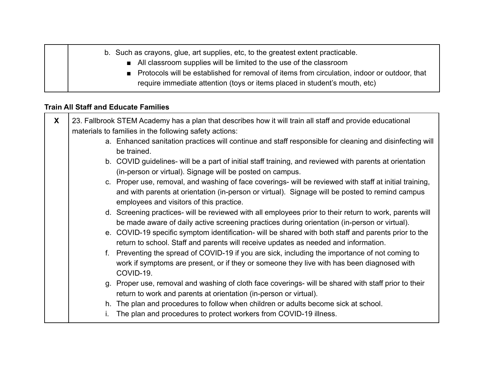| b. Such as crayons, glue, art supplies, etc, to the greatest extent practicable.                                                                                             |
|------------------------------------------------------------------------------------------------------------------------------------------------------------------------------|
| ■ All classroom supplies will be limited to the use of the classroom                                                                                                         |
| ■ Protocols will be established for removal of items from circulation, indoor or outdoor, that<br>require immediate attention (toys or items placed in student's mouth, etc) |

#### **Train All Staff and Educate Families**

| X | 23. Fallbrook STEM Academy has a plan that describes how it will train all staff and provide educational                                                                                                                                               |
|---|--------------------------------------------------------------------------------------------------------------------------------------------------------------------------------------------------------------------------------------------------------|
|   | materials to families in the following safety actions:                                                                                                                                                                                                 |
|   | a. Enhanced sanitation practices will continue and staff responsible for cleaning and disinfecting will<br>be trained.                                                                                                                                 |
|   | b. COVID guidelines- will be a part of initial staff training, and reviewed with parents at orientation<br>(in-person or virtual). Signage will be posted on campus.                                                                                   |
|   | c. Proper use, removal, and washing of face coverings- will be reviewed with staff at initial training,<br>and with parents at orientation (in-person or virtual). Signage will be posted to remind campus<br>employees and visitors of this practice. |
|   | d. Screening practices- will be reviewed with all employees prior to their return to work, parents will<br>be made aware of daily active screening practices during orientation (in-person or virtual).                                                |
|   | e. COVID-19 specific symptom identification- will be shared with both staff and parents prior to the<br>return to school. Staff and parents will receive updates as needed and information.                                                            |
|   | f. Preventing the spread of COVID-19 if you are sick, including the importance of not coming to<br>work if symptoms are present, or if they or someone they live with has been diagnosed with<br>COVID-19.                                             |
|   | g. Proper use, removal and washing of cloth face coverings- will be shared with staff prior to their<br>return to work and parents at orientation (in-person or virtual).                                                                              |
|   | h. The plan and procedures to follow when children or adults become sick at school.                                                                                                                                                                    |
|   | The plan and procedures to protect workers from COVID-19 illness.                                                                                                                                                                                      |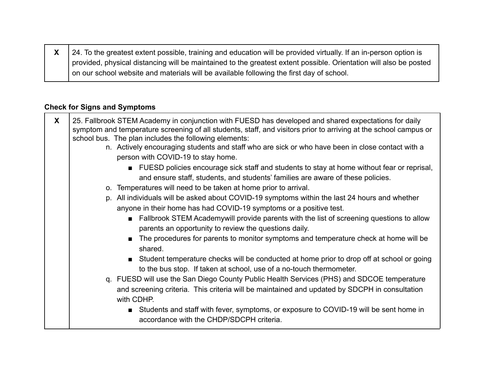**X** 24. To the greatest extent possible, training and education will be provided virtually. If an in-person option is provided, physical distancing will be maintained to the greatest extent possible. Orientation will also be posted on our school website and materials will be available following the first day of school.

#### **Check for Signs and Symptoms**

| X | 25. Fallbrook STEM Academy in conjunction with FUESD has developed and shared expectations for daily<br>symptom and temperature screening of all students, staff, and visitors prior to arriving at the school campus or<br>school bus. The plan includes the following elements: |
|---|-----------------------------------------------------------------------------------------------------------------------------------------------------------------------------------------------------------------------------------------------------------------------------------|
|   | n. Actively encouraging students and staff who are sick or who have been in close contact with a<br>person with COVID-19 to stay home.                                                                                                                                            |
|   | ■ FUESD policies encourage sick staff and students to stay at home without fear or reprisal,<br>and ensure staff, students, and students' families are aware of these policies.                                                                                                   |
|   | o. Temperatures will need to be taken at home prior to arrival.                                                                                                                                                                                                                   |
|   | p. All individuals will be asked about COVID-19 symptoms within the last 24 hours and whether<br>anyone in their home has had COVID-19 symptoms or a positive test.                                                                                                               |
|   | Fallbrook STEM Academywill provide parents with the list of screening questions to allow<br>$\blacksquare$<br>parents an opportunity to review the questions daily.                                                                                                               |
|   | The procedures for parents to monitor symptoms and temperature check at home will be<br>$\blacksquare$<br>shared.                                                                                                                                                                 |
|   | Student temperature checks will be conducted at home prior to drop off at school or going<br>to the bus stop. If taken at school, use of a no-touch thermometer.                                                                                                                  |
|   | q. FUESD will use the San Diego County Public Health Services (PHS) and SDCOE temperature<br>and screening criteria. This criteria will be maintained and updated by SDCPH in consultation<br>with CDHP.                                                                          |
|   | Students and staff with fever, symptoms, or exposure to COVID-19 will be sent home in<br>$\blacksquare$<br>accordance with the CHDP/SDCPH criteria.                                                                                                                               |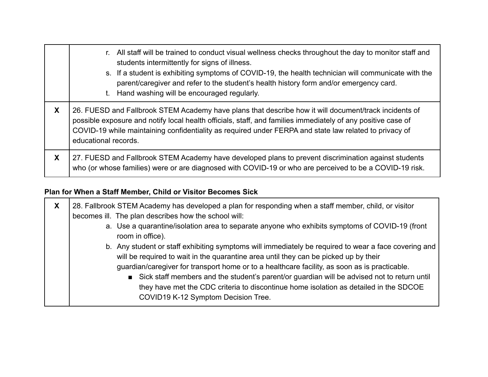|   | r. All staff will be trained to conduct visual wellness checks throughout the day to monitor staff and<br>students intermittently for signs of illness.<br>s. If a student is exhibiting symptoms of COVID-19, the health technician will communicate with the<br>parent/caregiver and refer to the student's health history form and/or emergency card.<br>t. Hand washing will be encouraged regularly. |
|---|-----------------------------------------------------------------------------------------------------------------------------------------------------------------------------------------------------------------------------------------------------------------------------------------------------------------------------------------------------------------------------------------------------------|
| X | 26. FUESD and Fallbrook STEM Academy have plans that describe how it will document/track incidents of<br>possible exposure and notify local health officials, staff, and families immediately of any positive case of<br>COVID-19 while maintaining confidentiality as required under FERPA and state law related to privacy of<br>educational records.                                                   |
| X | 27. FUESD and Fallbrook STEM Academy have developed plans to prevent discrimination against students<br>who (or whose families) were or are diagnosed with COVID-19 or who are perceived to be a COVID-19 risk.                                                                                                                                                                                           |

### **Plan for When a Staff Member, Child or Visitor Becomes Sick**

| X | 28. Fallbrook STEM Academy has developed a plan for responding when a staff member, child, or visitor<br>becomes ill. The plan describes how the school will:                                                                                                                                                                                                                                                                                                                                                                |
|---|------------------------------------------------------------------------------------------------------------------------------------------------------------------------------------------------------------------------------------------------------------------------------------------------------------------------------------------------------------------------------------------------------------------------------------------------------------------------------------------------------------------------------|
|   | a. Use a quarantine/isolation area to separate anyone who exhibits symptoms of COVID-19 (front<br>room in office).                                                                                                                                                                                                                                                                                                                                                                                                           |
|   | b. Any student or staff exhibiting symptoms will immediately be required to wear a face covering and<br>will be required to wait in the quarantine area until they can be picked up by their<br>guardian/caregiver for transport home or to a healthcare facility, as soon as is practicable.<br>Sick staff members and the student's parent/or guardian will be advised not to return until<br>they have met the CDC criteria to discontinue home isolation as detailed in the SDCOE<br>COVID19 K-12 Symptom Decision Tree. |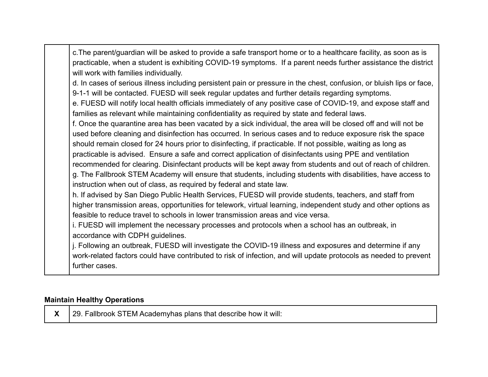| c. The parent/guardian will be asked to provide a safe transport home or to a healthcare facility, as soon as is      |
|-----------------------------------------------------------------------------------------------------------------------|
| practicable, when a student is exhibiting COVID-19 symptoms. If a parent needs further assistance the district        |
| will work with families individually.                                                                                 |
| d. In cases of serious illness including persistent pain or pressure in the chest, confusion, or bluish lips or face, |
| 9-1-1 will be contacted. FUESD will seek regular updates and further details regarding symptoms.                      |
| e. FUESD will notify local health officials immediately of any positive case of COVID-19, and expose staff and        |
| families as relevant while maintaining confidentiality as required by state and federal laws.                         |
| f. Once the quarantine area has been vacated by a sick individual, the area will be closed off and will not be        |
| used before cleaning and disinfection has occurred. In serious cases and to reduce exposure risk the space            |
| should remain closed for 24 hours prior to disinfecting, if practicable. If not possible, waiting as long as          |
| practicable is advised. Ensure a safe and correct application of disinfectants using PPE and ventilation              |
| recommended for clearing. Disinfectant products will be kept away from students and out of reach of children.         |
| g. The Fallbrook STEM Academy will ensure that students, including students with disabilities, have access to         |
| instruction when out of class, as required by federal and state law.                                                  |
| h. If advised by San Diego Public Health Services, FUESD will provide students, teachers, and staff from              |
| higher transmission areas, opportunities for telework, virtual learning, independent study and other options as       |
| feasible to reduce travel to schools in lower transmission areas and vice versa.                                      |
| i. FUESD will implement the necessary processes and protocols when a school has an outbreak, in                       |
| accordance with CDPH guidelines.                                                                                      |
| j. Following an outbreak, FUESD will investigate the COVID-19 illness and exposures and determine if any              |
| work-related factors could have contributed to risk of infection, and will update protocols as needed to prevent      |
| further cases.                                                                                                        |
|                                                                                                                       |

### **Maintain Healthy Operations**

 $\mathsf{X}$  | 29. Fallbrook STEM Academyhas plans that describe how it will: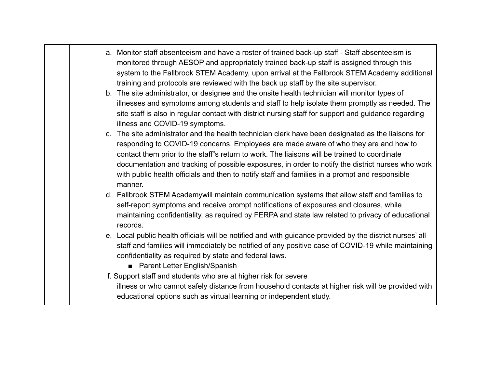- a. Monitor staff absenteeism and have a roster of trained back-up staff Staff absenteeism is monitored through AESOP and appropriately trained back-up staff is assigned through this system to the Fallbrook STEM Academy, upon arrival at the Fallbrook STEM Academy additional training and protocols are reviewed with the back up staff by the site supervisor.
	- b. The site administrator, or designee and the onsite health technician will monitor types of illnesses and symptoms among students and staff to help isolate them promptly as needed. The site staff is also in regular contact with district nursing staff for support and guidance regarding illness and COVID-19 symptoms.
	- c. The site administrator and the health technician clerk have been designated as the liaisons for responding to COVID-19 concerns. Employees are made aware of who they are and how to contact them prior to the staff"s return to work. The liaisons will be trained to coordinate documentation and tracking of possible exposures, in order to notify the district nurses who work with public health officials and then to notify staff and families in a prompt and responsible manner.
	- d. Fallbrook STEM Academywill maintain communication systems that allow staff and families to self-report symptoms and receive prompt notifications of exposures and closures, while maintaining confidentiality, as required by FERPA and state law related to privacy of educational records.
	- e. Local public health officials will be notified and with guidance provided by the district nurses' all staff and families will immediately be notified of any positive case of COVID-19 while maintaining confidentiality as required by state and federal laws.
		- Parent Letter English/Spanish
	- f. Support staff and students who are at higher risk for severe illness or who cannot safely distance from household contacts at higher risk will be provided with educational options such as virtual learning or independent study.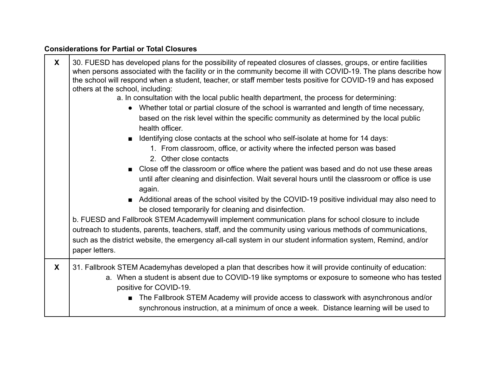# **Considerations for Partial or Total Closures**

| $\boldsymbol{X}$ | 30. FUESD has developed plans for the possibility of repeated closures of classes, groups, or entire facilities<br>when persons associated with the facility or in the community become ill with COVID-19. The plans describe how<br>the school will respond when a student, teacher, or staff member tests positive for COVID-19 and has exposed<br>others at the school, including:<br>a. In consultation with the local public health department, the process for determining:<br>Whether total or partial closure of the school is warranted and length of time necessary,<br>based on the risk level within the specific community as determined by the local public<br>health officer.<br>■ Identifying close contacts at the school who self-isolate at home for 14 days:<br>1. From classroom, office, or activity where the infected person was based<br>2. Other close contacts<br>■ Close off the classroom or office where the patient was based and do not use these areas<br>until after cleaning and disinfection. Wait several hours until the classroom or office is use<br>again.<br>Additional areas of the school visited by the COVID-19 positive individual may also need to<br>be closed temporarily for cleaning and disinfection.<br>b. FUESD and Fallbrook STEM Academywill implement communication plans for school closure to include<br>outreach to students, parents, teachers, staff, and the community using various methods of communications,<br>such as the district website, the emergency all-call system in our student information system, Remind, and/or<br>paper letters. |
|------------------|--------------------------------------------------------------------------------------------------------------------------------------------------------------------------------------------------------------------------------------------------------------------------------------------------------------------------------------------------------------------------------------------------------------------------------------------------------------------------------------------------------------------------------------------------------------------------------------------------------------------------------------------------------------------------------------------------------------------------------------------------------------------------------------------------------------------------------------------------------------------------------------------------------------------------------------------------------------------------------------------------------------------------------------------------------------------------------------------------------------------------------------------------------------------------------------------------------------------------------------------------------------------------------------------------------------------------------------------------------------------------------------------------------------------------------------------------------------------------------------------------------------------------------------------------------------------------------------------------------------------|
| X                | 31. Fallbrook STEM Academyhas developed a plan that describes how it will provide continuity of education:<br>a. When a student is absent due to COVID-19 like symptoms or exposure to someone who has tested<br>positive for COVID-19.<br>The Fallbrook STEM Academy will provide access to classwork with asynchronous and/or<br>synchronous instruction, at a minimum of once a week. Distance learning will be used to                                                                                                                                                                                                                                                                                                                                                                                                                                                                                                                                                                                                                                                                                                                                                                                                                                                                                                                                                                                                                                                                                                                                                                                         |

٦